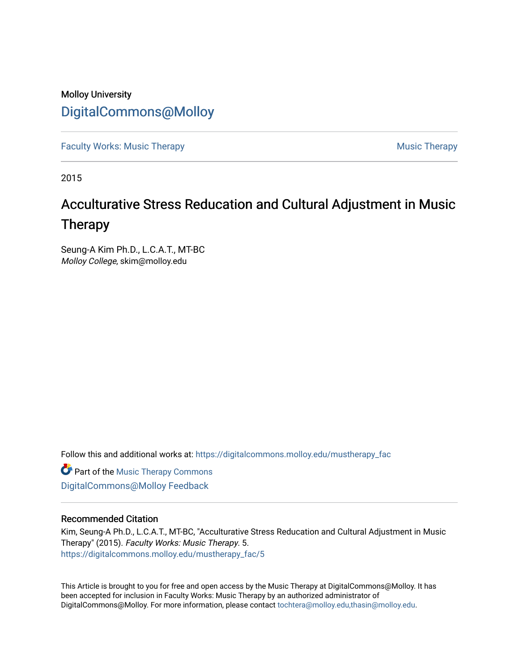# Molloy University [DigitalCommons@Molloy](https://digitalcommons.molloy.edu/)

[Faculty Works: Music Therapy](https://digitalcommons.molloy.edu/mustherapy_fac) **Music Therapy Music Therapy Music Therapy** 

2015

# Acculturative Stress Reducation and Cultural Adjustment in Music Therapy

Seung-A Kim Ph.D., L.C.A.T., MT-BC Molloy College, skim@molloy.edu

Follow this and additional works at: [https://digitalcommons.molloy.edu/mustherapy\\_fac](https://digitalcommons.molloy.edu/mustherapy_fac?utm_source=digitalcommons.molloy.edu%2Fmustherapy_fac%2F5&utm_medium=PDF&utm_campaign=PDFCoverPages)

**Part of the [Music Therapy Commons](https://network.bepress.com/hgg/discipline/1248?utm_source=digitalcommons.molloy.edu%2Fmustherapy_fac%2F5&utm_medium=PDF&utm_campaign=PDFCoverPages)** [DigitalCommons@Molloy Feedback](https://molloy.libwizard.com/f/dcfeedback)

## Recommended Citation

Kim, Seung-A Ph.D., L.C.A.T., MT-BC, "Acculturative Stress Reducation and Cultural Adjustment in Music Therapy" (2015). Faculty Works: Music Therapy. 5. [https://digitalcommons.molloy.edu/mustherapy\\_fac/5](https://digitalcommons.molloy.edu/mustherapy_fac/5?utm_source=digitalcommons.molloy.edu%2Fmustherapy_fac%2F5&utm_medium=PDF&utm_campaign=PDFCoverPages)

This Article is brought to you for free and open access by the Music Therapy at DigitalCommons@Molloy. It has been accepted for inclusion in Faculty Works: Music Therapy by an authorized administrator of DigitalCommons@Molloy. For more information, please contact [tochtera@molloy.edu,thasin@molloy.edu.](mailto:tochtera@molloy.edu,thasin@molloy.edu)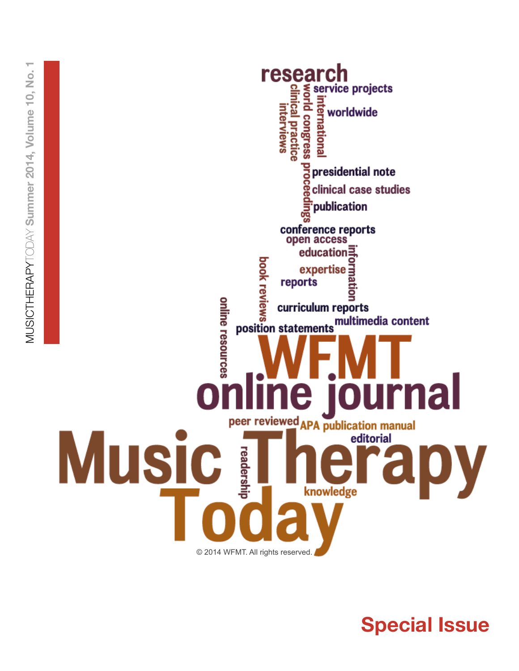

**Special Issue**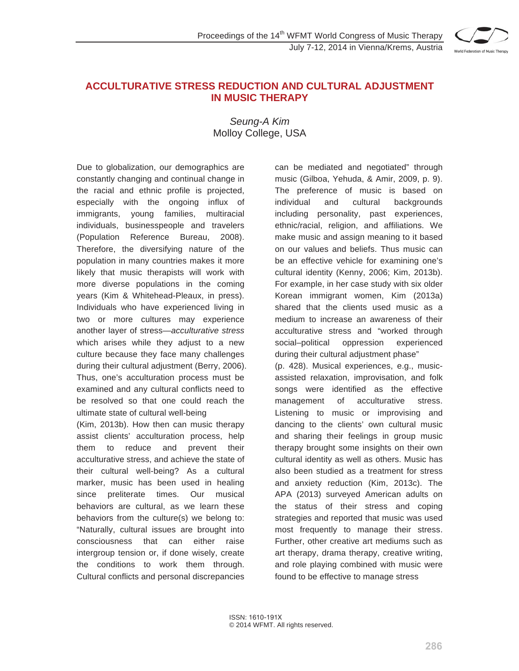

# **ACCULTURATIVE STRESS REDUCTION AND CULTURAL ADJUSTMENT IN MUSIC THERAPY**

*Seung-A Kim*  Molloy College, USA

Due to globalization, our demographics are constantly changing and continual change in the racial and ethnic profile is projected, especially with the ongoing influx of immigrants, young families, multiracial individuals, businesspeople and travelers (Population Reference Bureau, 2008). Therefore, the diversifying nature of the population in many countries makes it more likely that music therapists will work with more diverse populations in the coming years (Kim & Whitehead-Pleaux, in press). Individuals who have experienced living in two or more cultures may experience another layer of stress—*acculturative stress* which arises while they adjust to a new culture because they face many challenges during their cultural adjustment (Berry, 2006). Thus, one's acculturation process must be examined and any cultural conflicts need to be resolved so that one could reach the ultimate state of cultural well-being

(Kim, 2013b). How then can music therapy assist clients' acculturation process, help them to reduce and prevent their acculturative stress, and achieve the state of their cultural well-being? As a cultural marker, music has been used in healing since preliterate times. Our musical behaviors are cultural, as we learn these behaviors from the culture(s) we belong to: "Naturally, cultural issues are brought into consciousness that can either raise intergroup tension or, if done wisely, create the conditions to work them through. Cultural conflicts and personal discrepancies

can be mediated and negotiated" through music (Gilboa, Yehuda, & Amir, 2009, p. 9). The preference of music is based on individual and cultural backgrounds including personality, past experiences, ethnic/racial, religion, and affiliations. We make music and assign meaning to it based on our values and beliefs. Thus music can be an effective vehicle for examining one's cultural identity (Kenny, 2006; Kim, 2013b). For example, in her case study with six older Korean immigrant women, Kim (2013a) shared that the clients used music as a medium to increase an awareness of their acculturative stress and "worked through social–political oppression experienced during their cultural adjustment phase"

(p. 428). Musical experiences, e.g., musicassisted relaxation, improvisation, and folk songs were identified as the effective management of acculturative stress. Listening to music or improvising and dancing to the clients' own cultural music and sharing their feelings in group music therapy brought some insights on their own cultural identity as well as others. Music has also been studied as a treatment for stress and anxiety reduction (Kim, 2013c). The APA (2013) surveyed American adults on the status of their stress and coping strategies and reported that music was used most frequently to manage their stress. Further, other creative art mediums such as art therapy, drama therapy, creative writing, and role playing combined with music were found to be effective to manage stress